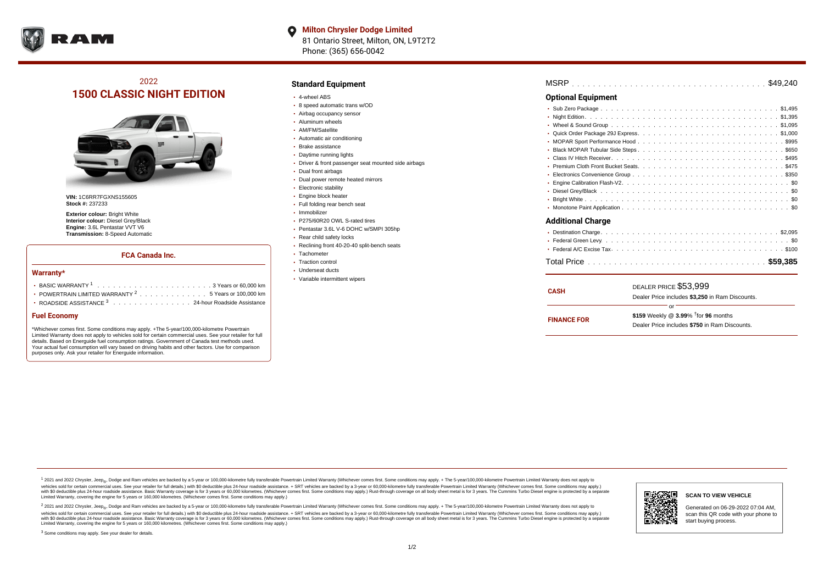

**Milton Chrysler Dodge Limited**  $\bullet$ 81 Ontario Street, Milton, ON, L9T2T2 Phone: (365) 656-0042

# 2022 **1500 CLASSIC NIGHT EDITION**



**VIN:** 1C6RR7FGXNS155605 **Stock #:** 237233

**Exterior colour:** Bright White **Interior colour:** Diesel Grey/Black **Engine:** 3.6L Pentastar VVT V6 **Transmission:** 8-Speed Automatic

#### **FCA Canada Inc.**

#### **Warranty\***

| POWERTRAIN LIMITED WARRANTY $2, \ldots, \ldots, \ldots, \ldots, 5$ Years or 100.000 km |
|----------------------------------------------------------------------------------------|
| <b>• ROADSIDE ASSISTANCE 3</b> 24-hour Roadside Assistance                             |

#### **Fuel Economy**

\*Whichever comes first. Some conditions may apply. +The 5-year/100,000-kilometre Powertrain Limited Warranty does not apply to vehicles sold for certain commercial uses. See your retailer for full details. Based on Energuide fuel consumption ratings. Government of Canada test methods used. Your actual fuel consumption will vary based on driving habits and other factors. Use for comparison purposes only. Ask your retailer for Energuide information.

### **Standard Equipment**

- 4-wheel ABS
- 8 speed automatic trans w/OD
- Airbag occupancy sensor
- Aluminum wheels
- AM/FM/Satellite Automatic air conditioning
- Brake assistance
- 
- Daytime running lights
- Driver & front passenger seat mounted side airbags • Dual front airbags
- Dual power remote heated mirrors
- Electronic stability
- Engine block heater
- Full folding rear bench seat
- Immobilizer
- P275/60R20 OWL S-rated tires
- Pentastar 3.6L V-6 DOHC w/SMPI 305hp
- Rear child safety locks
- Reclining front 40-20-40 split-bench seats
- Tachometer
- Traction control
- Underseat ducts
- Variable intermittent wipers

| MSRP |  |  |  |  |  |  |  |  |  |  |  |  |  |  |  |  |  |  |  |  |  |  |  |  |  |  |  |  |  |  |  |  |  |  |  |  |  |  |
|------|--|--|--|--|--|--|--|--|--|--|--|--|--|--|--|--|--|--|--|--|--|--|--|--|--|--|--|--|--|--|--|--|--|--|--|--|--|--|
|------|--|--|--|--|--|--|--|--|--|--|--|--|--|--|--|--|--|--|--|--|--|--|--|--|--|--|--|--|--|--|--|--|--|--|--|--|--|--|

### **Optional Equipment**

| Additional Charge |  |
|-------------------|--|
|                   |  |
|                   |  |
|                   |  |

| <b>CASH</b>        | DEALER PRICE \$53,999<br>Dealer Price includes \$3,250 in Ram Discounts.                      |  |  |  |  |  |  |
|--------------------|-----------------------------------------------------------------------------------------------|--|--|--|--|--|--|
| <b>FINANCE FOR</b> | or<br>\$159 Weekly @ 3.99% $†$ for 96 months<br>Dealer Price includes \$750 in Ram Discounts. |  |  |  |  |  |  |

. . . . . . . . . . . . . . . . . . . . . . . . . . . . . . . . . . . . . . . . . . . . . . Total Price **\$59,385**

<sup>1</sup> 2021 and 2022 Chrysler, Jeep<sub>®</sub>, Dodge and Ram vehicles are backed by a 5-year or 100,000-kilometre fully transferable Powertrain Limited Warranty (Whichever comes first. Some conditions may apply. + The 5-year/100,000 vehicles sold for certain commercial uses. See your retailer for full details.) with \$0 deductible plus 24-hour roadside assistance. + SRT vehicles are backed by a 3-year or 60,000-kilometre fully transferable Powertrain L versus and contract the mean of the contract of the contract with a contract with a contract the contract of the contract of the contract the contract of the contract of the contract of the contract of the contract of the Limited Warranty, covering the engine for 5 years or 160,000 kilometres. (Whichever comes first. Some conditions may apply.)

2 2021 and 2022 Chrysler, Jeep<sub>®</sub>, Dodge and Ram vehicles are backed by a 5-year or 100,000-kilometre fully transferable Powertrain Limited Warranty (Whichever comes first. Some conditions may apply. + The 5-year/100,000-k vehicles sold for certain commercial uses. See your retailer for full details.) with SO deductible plus 24-hour roadside assistance. + SRT vehicles are backed by a 3-year or 60.000-kilometre fully transferable Powertrain L with S0 deductible plus 24-hour roadside assistance. Basic Warranty coverage is for 3 years or 60,000 kilometres. (Whichever comes first. Some conditions may apply.) Rust-through coverage on all body sheet metal is for 3 y

<sup>3</sup> Some conditions may apply. See your dealer for details.



Generated on 06-29-2022 07:04 AM, scan this QR code with your phone to start buying process.